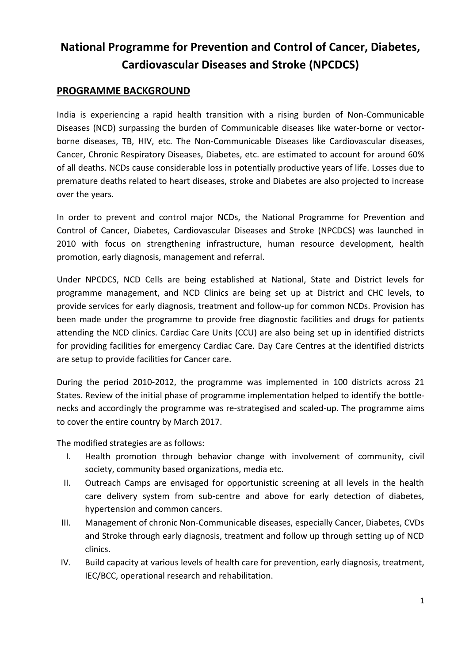## **National Programme for Prevention and Control of Cancer, Diabetes, Cardiovascular Diseases and Stroke (NPCDCS)**

## **PROGRAMME BACKGROUND**

India is experiencing a rapid health transition with a rising burden of Non-Communicable Diseases (NCD) surpassing the burden of Communicable diseases like water-borne or vectorborne diseases, TB, HIV, etc. The Non-Communicable Diseases like Cardiovascular diseases, Cancer, Chronic Respiratory Diseases, Diabetes, etc. are estimated to account for around 60% of all deaths. NCDs cause considerable loss in potentially productive years of life. Losses due to premature deaths related to heart diseases, stroke and Diabetes are also projected to increase over the years.

In order to prevent and control major NCDs, the National Programme for Prevention and Control of Cancer, Diabetes, Cardiovascular Diseases and Stroke (NPCDCS) was launched in 2010 with focus on strengthening infrastructure, human resource development, health promotion, early diagnosis, management and referral.

Under NPCDCS, NCD Cells are being established at National, State and District levels for programme management, and NCD Clinics are being set up at District and CHC levels, to provide services for early diagnosis, treatment and follow-up for common NCDs. Provision has been made under the programme to provide free diagnostic facilities and drugs for patients attending the NCD clinics. Cardiac Care Units (CCU) are also being set up in identified districts for providing facilities for emergency Cardiac Care. Day Care Centres at the identified districts are setup to provide facilities for Cancer care.

During the period 2010-2012, the programme was implemented in 100 districts across 21 States. Review of the initial phase of programme implementation helped to identify the bottlenecks and accordingly the programme was re-strategised and scaled-up. The programme aims to cover the entire country by March 2017.

The modified strategies are as follows:

- I. Health promotion through behavior change with involvement of community, civil society, community based organizations, media etc.
- II. Outreach Camps are envisaged for opportunistic screening at all levels in the health care delivery system from sub-centre and above for early detection of diabetes, hypertension and common cancers.
- III. Management of chronic Non-Communicable diseases, especially Cancer, Diabetes, CVDs and Stroke through early diagnosis, treatment and follow up through setting up of NCD clinics.
- IV. Build capacity at various levels of health care for prevention, early diagnosis, treatment, IEC/BCC, operational research and rehabilitation.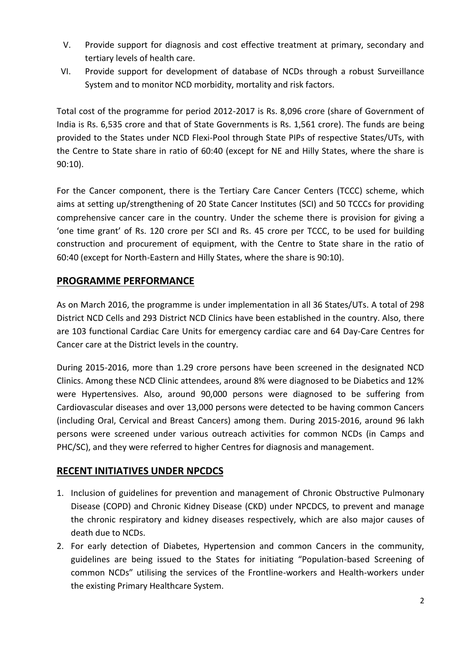- V. Provide support for diagnosis and cost effective treatment at primary, secondary and tertiary levels of health care.
- VI. Provide support for development of database of NCDs through a robust Surveillance System and to monitor NCD morbidity, mortality and risk factors.

Total cost of the programme for period 2012-2017 is Rs. 8,096 crore (share of Government of India is Rs. 6,535 crore and that of State Governments is Rs. 1,561 crore). The funds are being provided to the States under NCD Flexi-Pool through State PIPs of respective States/UTs, with the Centre to State share in ratio of 60:40 (except for NE and Hilly States, where the share is 90:10).

For the Cancer component, there is the Tertiary Care Cancer Centers (TCCC) scheme, which aims at setting up/strengthening of 20 State Cancer Institutes (SCI) and 50 TCCCs for providing comprehensive cancer care in the country. Under the scheme there is provision for giving a 'one time grant' of Rs. 120 crore per SCI and Rs. 45 crore per TCCC, to be used for building construction and procurement of equipment, with the Centre to State share in the ratio of 60:40 (except for North-Eastern and Hilly States, where the share is 90:10).

## **PROGRAMME PERFORMANCE**

As on March 2016, the programme is under implementation in all 36 States/UTs. A total of 298 District NCD Cells and 293 District NCD Clinics have been established in the country. Also, there are 103 functional Cardiac Care Units for emergency cardiac care and 64 Day-Care Centres for Cancer care at the District levels in the country.

During 2015-2016, more than 1.29 crore persons have been screened in the designated NCD Clinics. Among these NCD Clinic attendees, around 8% were diagnosed to be Diabetics and 12% were Hypertensives. Also, around 90,000 persons were diagnosed to be suffering from Cardiovascular diseases and over 13,000 persons were detected to be having common Cancers (including Oral, Cervical and Breast Cancers) among them. During 2015-2016, around 96 lakh persons were screened under various outreach activities for common NCDs (in Camps and PHC/SC), and they were referred to higher Centres for diagnosis and management.

## **RECENT INITIATIVES UNDER NPCDCS**

- 1. Inclusion of guidelines for prevention and management of Chronic Obstructive Pulmonary Disease (COPD) and Chronic Kidney Disease (CKD) under NPCDCS, to prevent and manage the chronic respiratory and kidney diseases respectively, which are also major causes of death due to NCDs.
- 2. For early detection of Diabetes, Hypertension and common Cancers in the community, guidelines are being issued to the States for initiating "Population-based Screening of common NCDs" utilising the services of the Frontline-workers and Health-workers under the existing Primary Healthcare System.